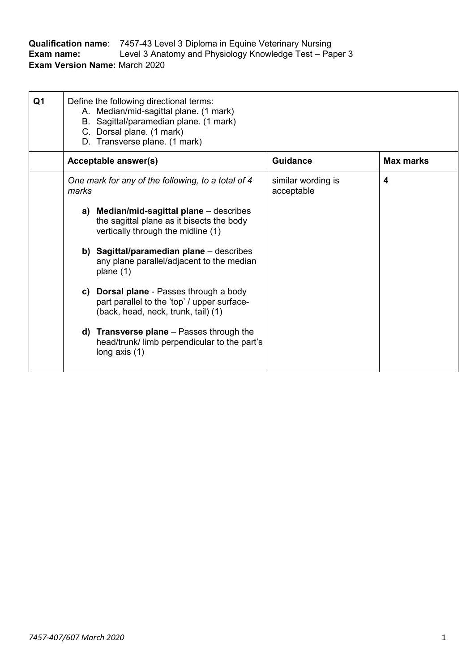| <b>Qualification name:</b>           | 7457-43 Level 3 Diploma in Equine Veterinary Nursing    |
|--------------------------------------|---------------------------------------------------------|
| Exam name:                           | Level 3 Anatomy and Physiology Knowledge Test – Paper 3 |
| <b>Exam Version Name: March 2020</b> |                                                         |

| Q1 | Define the following directional terms:<br>A. Median/mid-sagittal plane. (1 mark)<br>Sagittal/paramedian plane. (1 mark)<br>В.<br>C. Dorsal plane. (1 mark)<br>D. Transverse plane. (1 mark) |                                                                                                                               |                                  |                  |
|----|----------------------------------------------------------------------------------------------------------------------------------------------------------------------------------------------|-------------------------------------------------------------------------------------------------------------------------------|----------------------------------|------------------|
|    |                                                                                                                                                                                              | <b>Acceptable answer(s)</b>                                                                                                   | <b>Guidance</b>                  | <b>Max marks</b> |
|    | marks                                                                                                                                                                                        | One mark for any of the following, to a total of 4                                                                            | similar wording is<br>acceptable | 4                |
|    |                                                                                                                                                                                              | a) Median/mid-sagittal plane – describes<br>the sagittal plane as it bisects the body<br>vertically through the midline (1)   |                                  |                  |
|    |                                                                                                                                                                                              | b) Sagittal/paramedian plane $-$ describes<br>any plane parallel/adjacent to the median<br>plane $(1)$                        |                                  |                  |
|    |                                                                                                                                                                                              | c) Dorsal plane - Passes through a body<br>part parallel to the 'top' / upper surface-<br>(back, head, neck, trunk, tail) (1) |                                  |                  |
|    |                                                                                                                                                                                              | d) Transverse plane $-$ Passes through the<br>head/trunk/ limb perpendicular to the part's<br>long axis $(1)$                 |                                  |                  |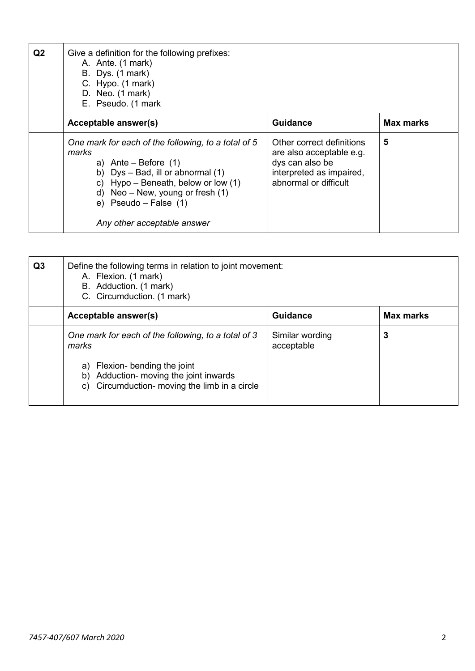| Q <sub>2</sub> | Give a definition for the following prefixes:<br>A. Ante. (1 mark)<br>B. Dys. (1 mark)<br>C. Hypo. (1 mark)<br>D. Neo. (1 mark)<br>E. Pseudo. (1 mark                                                                                                                      |                                                                                                                               |                  |
|----------------|----------------------------------------------------------------------------------------------------------------------------------------------------------------------------------------------------------------------------------------------------------------------------|-------------------------------------------------------------------------------------------------------------------------------|------------------|
|                | Acceptable answer(s)                                                                                                                                                                                                                                                       | <b>Guidance</b>                                                                                                               | <b>Max marks</b> |
|                | One mark for each of the following, to a total of 5<br>marks<br>a) Ante – Before $(1)$<br>Dys – Bad, ill or abnormal (1)<br>b)<br>c) Hypo – Beneath, below or low $(1)$<br>Neo – New, young or fresh $(1)$<br>d)<br>e) $Pseudo - False (1)$<br>Any other acceptable answer | Other correct definitions<br>are also acceptable e.g.<br>dys can also be<br>interpreted as impaired,<br>abnormal or difficult | 5                |

| Q <sub>3</sub> | Define the following terms in relation to joint movement:<br>A. Flexion. (1 mark)<br>B. Adduction. (1 mark)<br>C. Circumduction. (1 mark) |                               |                  |
|----------------|-------------------------------------------------------------------------------------------------------------------------------------------|-------------------------------|------------------|
|                | Acceptable answer(s)                                                                                                                      | <b>Guidance</b>               | <b>Max marks</b> |
|                | One mark for each of the following, to a total of 3<br>marks                                                                              | Similar wording<br>acceptable | 3                |
|                | Flexion- bending the joint<br>a)<br>Adduction- moving the joint inwards<br>b)<br>Circumduction- moving the limb in a circle<br>C)         |                               |                  |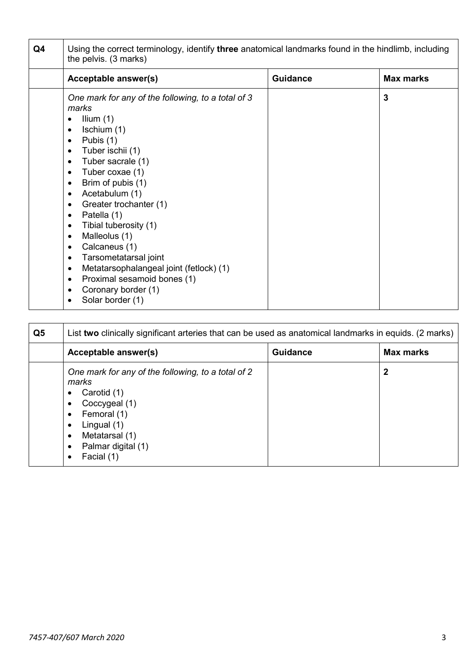| Q4 | Using the correct terminology, identify <b>three</b> anatomical landmarks found in the hindlimb, including<br>the pelvis. (3 marks)                                                                                                                                                                                                                                                                                                                                                                                                                                                                                                                                 |  |              |  |  |
|----|---------------------------------------------------------------------------------------------------------------------------------------------------------------------------------------------------------------------------------------------------------------------------------------------------------------------------------------------------------------------------------------------------------------------------------------------------------------------------------------------------------------------------------------------------------------------------------------------------------------------------------------------------------------------|--|--------------|--|--|
|    | <b>Guidance</b><br><b>Max marks</b><br>Acceptable answer(s)                                                                                                                                                                                                                                                                                                                                                                                                                                                                                                                                                                                                         |  |              |  |  |
|    | One mark for any of the following, to a total of 3<br>marks<br>Ilium $(1)$<br>$\bullet$<br>Ischium (1)<br>$\bullet$<br>Pubis (1)<br>$\bullet$<br>Tuber ischii (1)<br>$\bullet$<br>Tuber sacrale (1)<br>$\bullet$<br>Tuber coxae (1)<br>$\bullet$<br>Brim of pubis (1)<br>$\bullet$<br>Acetabulum (1)<br>$\bullet$<br>Greater trochanter (1)<br>$\bullet$<br>Patella (1)<br>٠<br>Tibial tuberosity (1)<br>$\bullet$<br>Malleolus (1)<br>$\bullet$<br>Calcaneus (1)<br>$\bullet$<br>Tarsometatarsal joint<br>$\bullet$<br>Metatarsophalangeal joint (fetlock) (1)<br>$\bullet$<br>Proximal sesamoid bones (1)<br>$\bullet$<br>Coronary border (1)<br>Solar border (1) |  | $\mathbf{3}$ |  |  |

| Q <sub>5</sub> | List two clinically significant arteries that can be used as anatomical landmarks in equids. (2 marks)                                                                                                                        |                 |                  |
|----------------|-------------------------------------------------------------------------------------------------------------------------------------------------------------------------------------------------------------------------------|-----------------|------------------|
|                | <b>Acceptable answer(s)</b>                                                                                                                                                                                                   | <b>Guidance</b> | <b>Max marks</b> |
|                | One mark for any of the following, to a total of 2<br>marks<br>Carotid (1)<br>٠<br>Coccygeal (1)<br>٠<br>Femoral (1)<br>$\bullet$<br>Lingual (1)<br>٠<br>Metatarsal (1)<br>٠<br>Palmar digital (1)<br>$\bullet$<br>Facial (1) |                 | $\mathbf 2$      |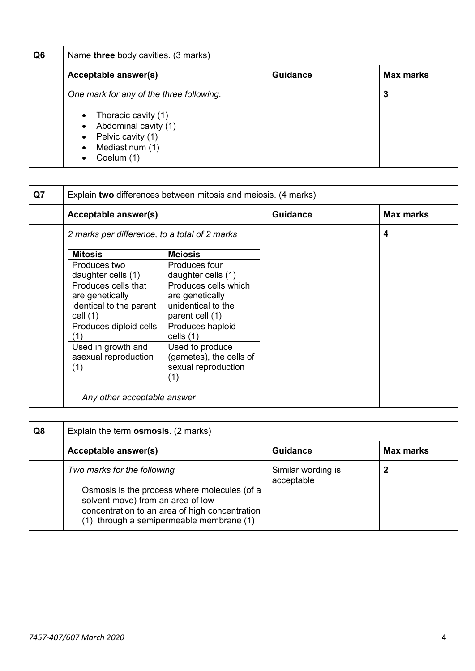| Q6 | Name three body cavities. (3 marks)                                                                                                                                     |  |   |  |  |
|----|-------------------------------------------------------------------------------------------------------------------------------------------------------------------------|--|---|--|--|
|    | <b>Guidance</b><br>Max marks<br>Acceptable answer(s)                                                                                                                    |  |   |  |  |
|    | One mark for any of the three following.<br>Thoracic cavity (1)<br>$\bullet$<br>Abdominal cavity (1)<br>$\bullet$<br>Pelvic cavity (1)<br>Mediastinum (1)<br>Coelum (1) |  | 3 |  |  |

| Q7 | Explain two differences between mitosis and meiosis. (4 marks) |                         |                 |                  |
|----|----------------------------------------------------------------|-------------------------|-----------------|------------------|
|    | Acceptable answer(s)                                           |                         | <b>Guidance</b> | <b>Max marks</b> |
|    | 2 marks per difference, to a total of 2 marks                  |                         |                 | 4                |
|    | <b>Mitosis</b>                                                 | <b>Meiosis</b>          |                 |                  |
|    | Produces two                                                   | Produces four           |                 |                  |
|    | daughter cells (1)                                             | daughter cells (1)      |                 |                  |
|    | Produces cells that                                            | Produces cells which    |                 |                  |
|    | are genetically                                                | are genetically         |                 |                  |
|    | identical to the parent                                        | unidentical to the      |                 |                  |
|    | cell $(1)$                                                     | parent cell (1)         |                 |                  |
|    | Produces diploid cells                                         | Produces haploid        |                 |                  |
|    | (1)                                                            | cells $(1)$             |                 |                  |
|    | Used in growth and                                             | Used to produce         |                 |                  |
|    | asexual reproduction                                           | (gametes), the cells of |                 |                  |
|    | (1)                                                            | sexual reproduction     |                 |                  |
|    |                                                                | 11                      |                 |                  |

| Q8 | Explain the term <b>osmosis.</b> (2 marks)                                                                                                                                                                      |                                  |           |
|----|-----------------------------------------------------------------------------------------------------------------------------------------------------------------------------------------------------------------|----------------------------------|-----------|
|    | Acceptable answer(s)                                                                                                                                                                                            | <b>Guidance</b>                  | Max marks |
|    | Two marks for the following<br>Osmosis is the process where molecules (of a<br>solvent move) from an area of low<br>concentration to an area of high concentration<br>(1), through a semipermeable membrane (1) | Similar wording is<br>acceptable | 2         |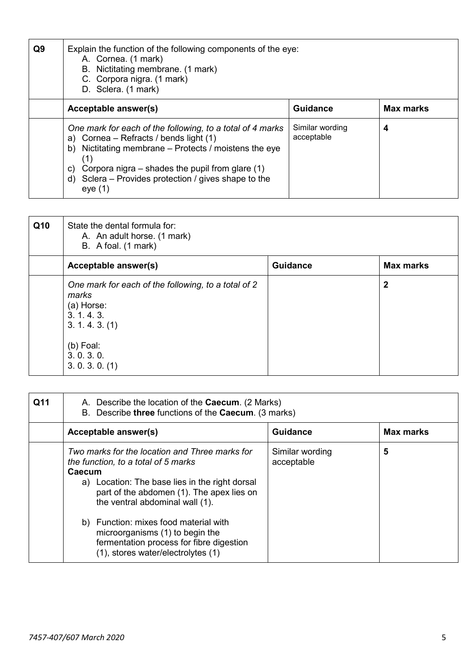| Q9 | Explain the function of the following components of the eye:<br>A. Cornea. (1 mark)<br>B. Nictitating membrane. (1 mark)<br>C. Corpora nigra. (1 mark)<br>D. Sclera. (1 mark)                                                                                                                       |                               |                  |
|----|-----------------------------------------------------------------------------------------------------------------------------------------------------------------------------------------------------------------------------------------------------------------------------------------------------|-------------------------------|------------------|
|    | Acceptable answer(s)                                                                                                                                                                                                                                                                                | <b>Guidance</b>               | <b>Max marks</b> |
|    | One mark for each of the following, to a total of 4 marks<br>a) Cornea - Refracts / bends light (1)<br>b) Nictitating membrane – Protects / moistens the eye<br>(1)<br>Corpora nigra $-$ shades the pupil from glare (1)<br>C)<br>d) Sclera - Provides protection / gives shape to the<br>eye $(1)$ | Similar wording<br>acceptable | 4                |

| Q10 | State the dental formula for:<br>A. An adult horse. (1 mark)<br>B. A foal. (1 mark)                       |                 |                  |
|-----|-----------------------------------------------------------------------------------------------------------|-----------------|------------------|
|     | Acceptable answer(s)                                                                                      | <b>Guidance</b> | <b>Max marks</b> |
|     | One mark for each of the following, to a total of 2<br>marks<br>(a) Horse:<br>3.1.4.3.<br>3. 1. 4. 3. (1) |                 | $\mathbf{2}$     |
|     | $(b)$ Foal:<br>3.0.3.0.<br>3.0.3.0. (1)                                                                   |                 |                  |

| Q11 | A. Describe the location of the <b>Caecum</b> . (2 Marks)<br>B. Describe three functions of the Caecum. (3 marks)                                                                                                                                                                                                                                                                               |                               |                  |
|-----|-------------------------------------------------------------------------------------------------------------------------------------------------------------------------------------------------------------------------------------------------------------------------------------------------------------------------------------------------------------------------------------------------|-------------------------------|------------------|
|     | Acceptable answer(s)                                                                                                                                                                                                                                                                                                                                                                            | <b>Guidance</b>               | <b>Max marks</b> |
|     | Two marks for the location and Three marks for<br>the function, to a total of 5 marks<br>Caecum<br>a) Location: The base lies in the right dorsal<br>part of the abdomen (1). The apex lies on<br>the ventral abdominal wall (1).<br>b) Function: mixes food material with<br>microorganisms (1) to begin the<br>fermentation process for fibre digestion<br>(1), stores water/electrolytes (1) | Similar wording<br>acceptable | 5                |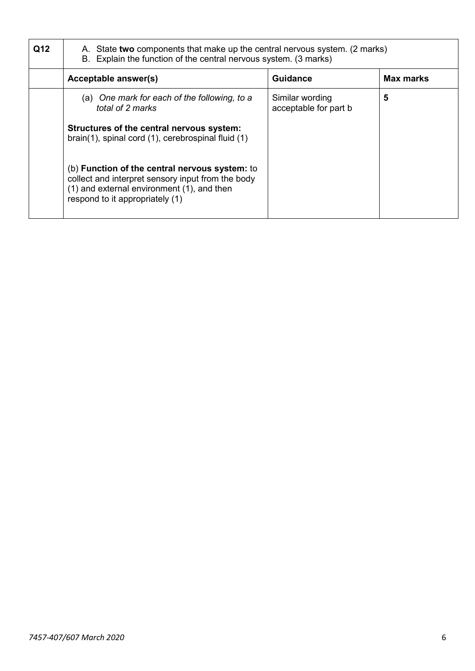| Q12 | A. State two components that make up the central nervous system. (2 marks)<br>B. Explain the function of the central nervous system. (3 marks)                                                                                                                                                                                                              |                                          |           |  |
|-----|-------------------------------------------------------------------------------------------------------------------------------------------------------------------------------------------------------------------------------------------------------------------------------------------------------------------------------------------------------------|------------------------------------------|-----------|--|
|     | Acceptable answer(s)                                                                                                                                                                                                                                                                                                                                        | <b>Guidance</b>                          | Max marks |  |
|     | (a) One mark for each of the following, to a<br>total of 2 marks<br>Structures of the central nervous system:<br>brain(1), spinal cord (1), cerebrospinal fluid (1)<br>(b) Function of the central nervous system: to<br>collect and interpret sensory input from the body<br>(1) and external environment (1), and then<br>respond to it appropriately (1) | Similar wording<br>acceptable for part b | 5         |  |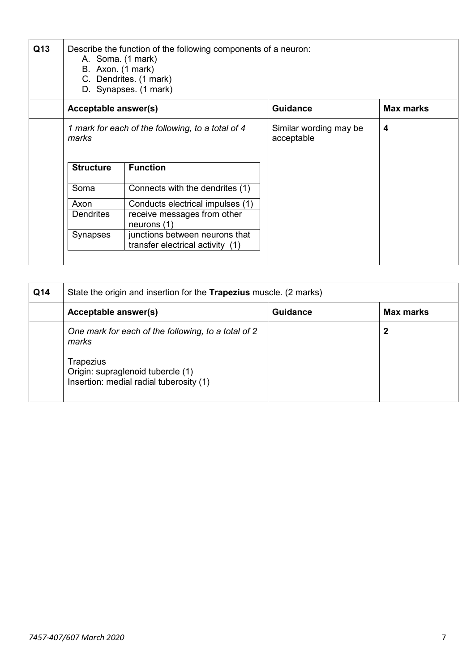| Q13 |                                                            | Describe the function of the following components of a neuron:<br>A. Soma. (1 mark)<br>B. Axon. (1 mark)<br>C. Dendrites. (1 mark)<br>D. Synapses. (1 mark) |                                      |                  |  |  |
|-----|------------------------------------------------------------|-------------------------------------------------------------------------------------------------------------------------------------------------------------|--------------------------------------|------------------|--|--|
|     | Acceptable answer(s)                                       |                                                                                                                                                             | <b>Guidance</b>                      | <b>Max marks</b> |  |  |
|     | 1 mark for each of the following, to a total of 4<br>marks |                                                                                                                                                             | Similar wording may be<br>acceptable | 4                |  |  |
|     | <b>Structure</b>                                           | <b>Function</b>                                                                                                                                             |                                      |                  |  |  |
|     | Soma                                                       | Connects with the dendrites (1)                                                                                                                             |                                      |                  |  |  |
|     | Axon                                                       | Conducts electrical impulses (1)                                                                                                                            |                                      |                  |  |  |
|     | <b>Dendrites</b>                                           | receive messages from other<br>neurons $(1)$                                                                                                                |                                      |                  |  |  |
|     | <b>Synapses</b>                                            | junctions between neurons that<br>transfer electrical activity (1)                                                                                          |                                      |                  |  |  |

| Q14 | State the origin and insertion for the <b>Trapezius</b> muscle. (2 marks)                 |                 |                  |
|-----|-------------------------------------------------------------------------------------------|-----------------|------------------|
|     | Acceptable answer(s)                                                                      | <b>Guidance</b> | <b>Max marks</b> |
|     | One mark for each of the following, to a total of 2<br>marks                              |                 | 2                |
|     | Trapezius<br>Origin: supraglenoid tubercle (1)<br>Insertion: medial radial tuberosity (1) |                 |                  |